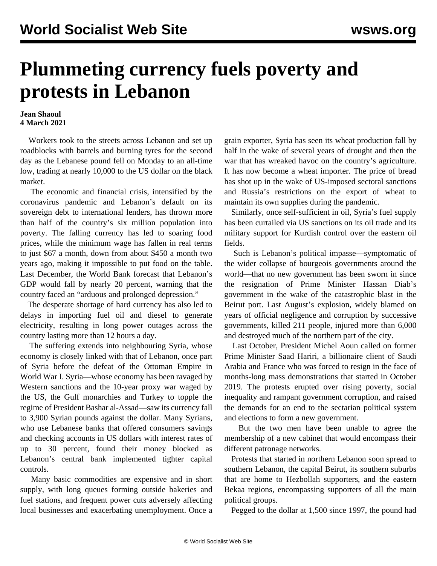## **Plummeting currency fuels poverty and protests in Lebanon**

## **Jean Shaoul 4 March 2021**

 Workers took to the streets across Lebanon and set up roadblocks with barrels and burning tyres for the second day as the Lebanese pound fell on Monday to an all-time low, trading at nearly 10,000 to the US dollar on the black market.

 The economic and financial crisis, intensified by the coronavirus pandemic and Lebanon's default on its sovereign debt to international lenders, has thrown more than half of the country's six million population into poverty. The falling currency has led to soaring food prices, while the minimum wage has fallen in real terms to just \$67 a month, down from about \$450 a month two years ago, making it impossible to put food on the table. Last December, the World Bank forecast that Lebanon's GDP would fall by nearly 20 percent, warning that the country faced an "arduous and prolonged depression."

 The desperate shortage of hard currency has also led to delays in importing fuel oil and diesel to generate electricity, resulting in long power outages across the country lasting more than 12 hours a day.

 The suffering extends into neighbouring Syria, whose economy is closely linked with that of Lebanon, once part of Syria before the defeat of the Ottoman Empire in World War I. Syria—whose economy has been ravaged by Western sanctions and the 10-year proxy war waged by the US, the Gulf monarchies and Turkey to topple the regime of President Bashar al-Assad—saw its currency fall to 3,900 Syrian pounds against the dollar. Many Syrians, who use Lebanese banks that offered consumers savings and checking accounts in US dollars with interest rates of up to 30 percent, found their money blocked as Lebanon's central bank implemented tighter capital controls.

 Many basic commodities are expensive and in short supply, with long queues forming outside bakeries and fuel stations, and frequent power cuts adversely affecting local businesses and exacerbating unemployment. Once a grain exporter, Syria has seen its wheat production fall by half in the wake of several years of drought and then the war that has wreaked havoc on the country's agriculture. It has now become a wheat importer. The price of bread has shot up in the wake of US-imposed sectoral sanctions and Russia's restrictions on the export of wheat to maintain its own supplies during the pandemic.

 Similarly, once self-sufficient in oil, Syria's fuel supply has been curtailed via US sanctions on its oil trade and its military support for Kurdish control over the eastern oil fields.

 Such is Lebanon's political impasse—symptomatic of the wider collapse of bourgeois governments around the world—that no new government has been sworn in since the resignation of Prime Minister Hassan Diab's government in the wake of the catastrophic blast in the Beirut port. Last August's explosion, widely blamed on years of official negligence and corruption by successive governments, killed 211 people, injured more than 6,000 and destroyed much of the northern part of the city.

 Last October, President Michel Aoun called on former Prime Minister Saad Hariri, a billionaire client of Saudi Arabia and France who was forced to resign in the face of months-long mass demonstrations that started in October 2019. The protests erupted over rising poverty, social inequality and rampant government corruption, and raised the demands for an end to the sectarian political system and elections to form a new government.

 But the two men have been unable to agree the membership of a new cabinet that would encompass their different patronage networks.

 Protests that started in northern Lebanon soon spread to southern Lebanon, the capital Beirut, its southern suburbs that are home to Hezbollah supporters, and the eastern Bekaa regions, encompassing supporters of all the main political groups.

Pegged to the dollar at 1,500 since 1997, the pound had